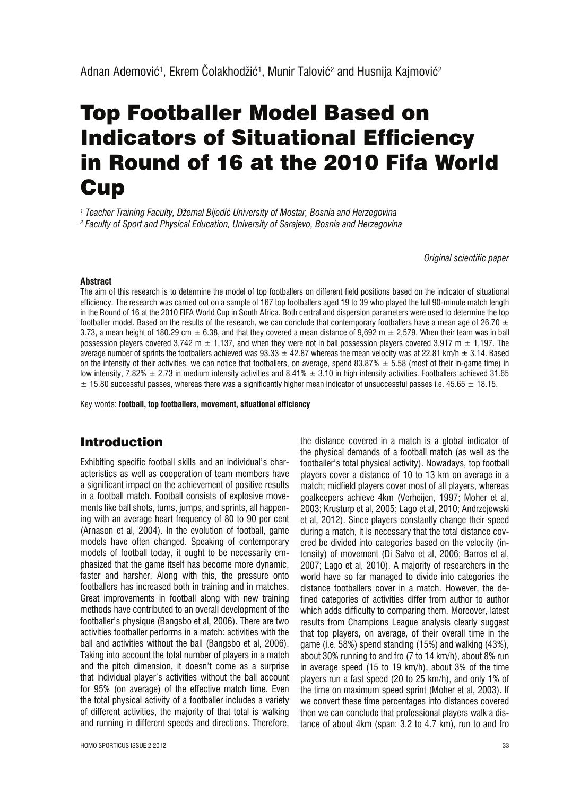# Top Footballer Model Based on **Indicators of Situational Efficiency** in Round of 16 at the 2010 Fifa World **Cup**

*1 Teacher Training Faculty, Džemal Bijediê University of Mostar, Bosnia and Herzegovina 2 Faculty of Sport and Physical Education, University of Sarajevo, Bosnia and Herzegovina*

*Original scientific paper*

#### **Abstract**

The aim of this research is to determine the model of top footballers on different field positions based on the indicator of situational efficiency. The research was carried out on a sample of 167 top footballers aged 19 to 39 who played the full 90-minute match length in the Round of 16 at the 2010 FIFA World Cup in South Africa. Both central and dispersion parameters were used to determine the top footballer model. Based on the results of the research, we can conclude that contemporary footballers have a mean age of 26.70  $\pm$ 3.73, a mean height of 180.29 cm  $\pm$  6.38, and that they covered a mean distance of 9,692 m  $\pm$  2,579. When their team was in ball possession players covered 3,742 m  $\pm$  1,137, and when they were not in ball possession players covered 3,917 m  $\pm$  1,197. The average number of sprints the footballers achieved was 93.33  $\pm$  42.87 whereas the mean velocity was at 22.81 km/h  $\pm$  3.14. Based on the intensity of their activities, we can notice that footballers, on average, spend 83.87%  $\pm$  5.58 (most of their in-game time) in low intensity, 7.82%  $\pm$  2.73 in medium intensity activities and 8.41%  $\pm$  3.10 in high intensity activities. Footballers achieved 31.65  $\pm$  15.80 successful passes, whereas there was a significantly higher mean indicator of unsuccessful passes i.e. 45.65  $\pm$  18.15.

Key words: **football, top footballers, movement, situational efficiency**

## Introduction

Exhibiting specific football skills and an individual's characteristics as well as cooperation of team members have a significant impact on the achievement of positive results in a football match. Football consists of explosive movements like ball shots, turns, jumps, and sprints, all happening with an average heart frequency of 80 to 90 per cent (Arnason et al, 2004). In the evolution of football, game models have often changed. Speaking of contemporary models of football today, it ought to be necessarily emphasized that the game itself has become more dynamic, faster and harsher. Along with this, the pressure onto footballers has increased both in training and in matches. Great improvements in football along with new training methods have contributed to an overall development of the footballer's physique (Bangsbo et al, 2006). There are two activities footballer performs in a match: activities with the ball and activities without the ball (Bangsbo et al, 2006). Taking into account the total number of players in a match and the pitch dimension, it doesn't come as a surprise that individual player's activities without the ball account for 95% (on average) of the effective match time. Even the total physical activity of a footballer includes a variety of different activities, the majority of that total is walking and running in different speeds and directions. Therefore,

the distance covered in a match is a global indicator of the physical demands of a football match (as well as the footballer's total physical activity). Nowadays, top football players cover a distance of 10 to 13 km on average in a match; midfield players cover most of all players, whereas goalkeepers achieve 4km (Verheijen, 1997; Moher et al, 2003; Krusturp et al, 2005; Lago et al, 2010; Andrzejewski et al, 2012). Since players constantly change their speed during a match, it is necessary that the total distance covered be divided into categories based on the velocity (intensity) of movement (Di Salvo et al, 2006; Barros et al, 2007; Lago et al, 2010). A majority of researchers in the world have so far managed to divide into categories the distance footballers cover in a match. However, the defined categories of activities differ from author to author which adds difficulty to comparing them. Moreover, latest results from Champions League analysis clearly suggest that top players, on average, of their overall time in the game (i.e. 58%) spend standing (15%) and walking (43%), about 30% running to and fro (7 to 14 km/h), about 8% run in average speed (15 to 19 km/h), about 3% of the time players run a fast speed (20 to 25 km/h), and only 1% of the time on maximum speed sprint (Moher et al, 2003). If we convert these time percentages into distances covered then we can conclude that professional players walk a distance of about 4km (span: 3.2 to 4.7 km), run to and fro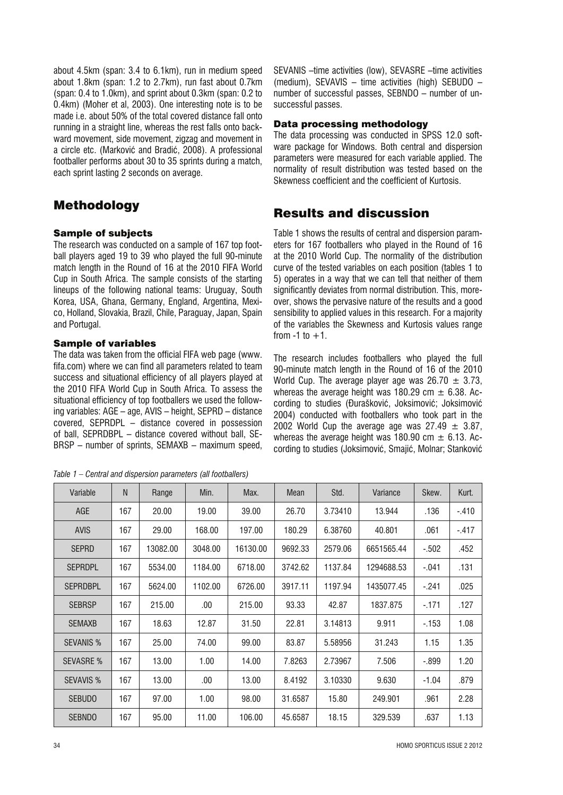about 4.5km (span: 3.4 to 6.1km), run in medium speed about 1.8km (span: 1.2 to 2.7km), run fast about 0.7km (span: 0.4 to 1.0km), and sprint about 0.3km (span: 0.2 to 0.4km) (Moher et al, 2003). One interesting note is to be made i.e. about 50% of the total covered distance fall onto running in a straight line, whereas the rest falls onto backward movement, side movement, zigzag and movement in a circle etc. (Markoviê and Bradiê, 2008). A professional footballer performs about 30 to 35 sprints during a match, each sprint lasting 2 seconds on average.

## Methodology

#### Sample of subjects

The research was conducted on a sample of 167 top football players aged 19 to 39 who played the full 90-minute match length in the Round of 16 at the 2010 FIFA World Cup in South Africa. The sample consists of the starting lineups of the following national teams: Uruguay, South Korea, USA, Ghana, Germany, England, Argentina, Mexico, Holland, Slovakia, Brazil, Chile, Paraguay, Japan, Spain and Portugal.

#### Sample of variables

The data was taken from the official FIFA web page (www. fifa.com) where we can find all parameters related to team success and situational efficiency of all players played at the 2010 FIFA World Cup in South Africa. To assess the situational efficiency of top footballers we used the following variables: AGE – age, AVIS – height, SEPRD – distance covered, SEPRDPL – distance covered in possession of ball, SEPRDBPL – distance covered without ball, SE-BRSP – number of sprints, SEMAXB – maximum speed,

*Table 1 – Central and dispersion parameters (all footballers)*

SEVANIS -time activities (low), SEVASRE -time activities (medium), SEVAVIS – time activities (high) SEBUDO – number of successful passes, SEBNDO – number of unsuccessful passes.

#### Data processing methodology

The data processing was conducted in SPSS 12.0 software package for Windows. Both central and dispersion parameters were measured for each variable applied. The normality of result distribution was tested based on the Skewness coefficient and the coefficient of Kurtosis.

### Results and discussion

Table 1 shows the results of central and dispersion parameters for 167 footballers who played in the Round of 16 at the 2010 World Cup. The normality of the distribution curve of the tested variables on each position (tables 1 to 5) operates in a way that we can tell that neither of them significantly deviates from normal distribution. This, moreover, shows the pervasive nature of the results and a good sensibility to applied values in this research. For a majority of the variables the Skewness and Kurtosis values range from  $-1$  to  $+1$ .

The research includes footballers who played the full 90-minute match length in the Round of 16 of the 2010 World Cup. The average player age was  $26.70 \pm 3.73$ , whereas the average height was 180.29 cm  $\pm$  6.38. According to studies (Đurašković, Joksimović; Joksimović 2004) conducted with footballers who took part in the 2002 World Cup the average age was  $27.49 \pm 3.87$ , whereas the average height was 180.90 cm  $\pm$  6.13. According to studies (Joksimoviê, Smajiê, Molnar; Stankoviê

| Variable         | N   | Range    | Min.    | Max.     | Mean    | Std.    | Variance   | Skew.   | Kurt.   |
|------------------|-----|----------|---------|----------|---------|---------|------------|---------|---------|
| AGE              | 167 | 20.00    | 19.00   | 39.00    | 26.70   | 3.73410 | 13.944     | .136    | $-.410$ |
| <b>AVIS</b>      | 167 | 29.00    | 168.00  | 197.00   | 180.29  | 6.38760 | 40.801     | .061    | $-.417$ |
| <b>SEPRD</b>     | 167 | 13082.00 | 3048.00 | 16130.00 | 9692.33 | 2579.06 | 6651565.44 | $-.502$ | .452    |
| <b>SEPRDPL</b>   | 167 | 5534.00  | 1184.00 | 6718.00  | 3742.62 | 1137.84 | 1294688.53 | $-.041$ | .131    |
| <b>SEPRDBPL</b>  | 167 | 5624.00  | 1102.00 | 6726.00  | 3917.11 | 1197.94 | 1435077.45 | $-.241$ | .025    |
| <b>SEBRSP</b>    | 167 | 215.00   | .00.    | 215.00   | 93.33   | 42.87   | 1837.875   | $-171$  | .127    |
| <b>SEMAXB</b>    | 167 | 18.63    | 12.87   | 31.50    | 22.81   | 3.14813 | 9.911      | $-153$  | 1.08    |
| <b>SEVANIS %</b> | 167 | 25.00    | 74.00   | 99.00    | 83.87   | 5.58956 | 31.243     | 1.15    | 1.35    |
| <b>SEVASRE %</b> | 167 | 13.00    | 1.00    | 14.00    | 7.8263  | 2.73967 | 7.506      | $-.899$ | 1.20    |
| <b>SEVAVIS %</b> | 167 | 13.00    | .00.    | 13.00    | 8.4192  | 3.10330 | 9.630      | $-1.04$ | .879    |
| <b>SEBUDO</b>    | 167 | 97.00    | 1.00    | 98.00    | 31.6587 | 15.80   | 249.901    | .961    | 2.28    |
| <b>SEBNDO</b>    | 167 | 95.00    | 11.00   | 106.00   | 45.6587 | 18.15   | 329.539    | .637    | 1.13    |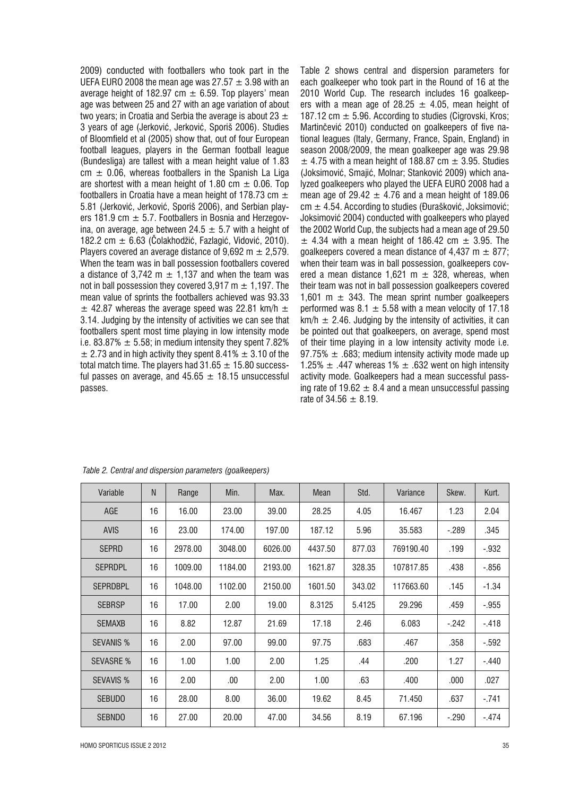2009) conducted with footballers who took part in the UEFA EURO 2008 the mean age was 27.57  $\pm$  3.98 with an average height of 182.97 cm  $\pm$  6.59. Top players' mean age was between 25 and 27 with an age variation of about two years; in Croatia and Serbia the average is about 23  $\pm$ 3 years of age (Jerkoviê, Jerkoviê, Sporiš 2006). Studies of Bloomfield et al (2005) show that, out of four European football leagues, players in the German football league (Bundesliga) are tallest with a mean height value of 1.83  $cm \pm 0.06$ , whereas footballers in the Spanish La Liga are shortest with a mean height of 1.80 cm  $\pm$  0.06. Top footballers in Croatia have a mean height of 178.73 cm  $\pm$ 5.81 (Jerkoviê, Jerkoviê, Sporiš 2006), and Serbian players 181.9 cm  $\pm$  5.7. Footballers in Bosnia and Herzegovina, on average, age between 24.5  $\pm$  5.7 with a height of 182.2 cm  $\pm$  6.63 (Colakhodžić, Fazlagić, Vidović, 2010). Players covered an average distance of 9,692 m  $\pm$  2,579. When the team was in ball possession footballers covered a distance of 3,742 m  $\pm$  1,137 and when the team was not in ball possession they covered 3.917 m  $\pm$  1.197. The mean value of sprints the footballers achieved was 93.33  $\pm$  42.87 whereas the average speed was 22.81 km/h  $\pm$ 3.14. Judging by the intensity of activities we can see that footballers spent most time playing in low intensity mode i.e. 83.87%  $\pm$  5.58; in medium intensity they spent 7.82%  $\pm$  2.73 and in high activity they spent 8.41%  $\pm$  3.10 of the total match time. The players had  $31.65 \pm 15.80$  successful passes on average, and  $45.65 \pm 18.15$  unsuccessful passes.

Table 2 shows central and dispersion parameters for each goalkeeper who took part in the Round of 16 at the 2010 World Cup. The research includes 16 goalkeepers with a mean age of 28.25  $\pm$  4.05, mean height of 187.12 cm  $\pm$  5.96. According to studies (Cigrovski, Kros; Martinčević 2010) conducted on goalkeepers of five national leagues (Italy, Germany, France, Spain, England) in season 2008/2009, the mean goalkeeper age was 29.98  $\pm$  4.75 with a mean height of 188.87 cm  $\pm$  3.95. Studies (Joksimoviê, Smajiê, Molnar; Stankoviê 2009) which analyzed goalkeepers who played the UEFA EURO 2008 had a mean age of 29.42  $\pm$  4.76 and a mean height of 189.06  $cm \pm 4.54$ . According to studies (Đurašković, Joksimović; Joksimoviê 2004) conducted with goalkeepers who played the 2002 World Cup, the subjects had a mean age of 29.50  $\pm$  4.34 with a mean height of 186.42 cm  $\pm$  3.95. The goalkeepers covered a mean distance of 4,437 m  $\pm$  877; when their team was in ball possession, goalkeepers covered a mean distance 1,621 m  $\pm$  328, whereas, when their team was not in ball possession goalkeepers covered 1,601 m  $\pm$  343. The mean sprint number goalkeepers performed was 8.1  $\pm$  5.58 with a mean velocity of 17.18  $km/h \pm 2.46$ . Judging by the intensity of activities, it can be pointed out that goalkeepers, on average, spend most of their time playing in a low intensity activity mode i.e. 97.75%  $\pm$  .683; medium intensity activity mode made up 1.25%  $\pm$  .447 whereas 1%  $\pm$  .632 went on high intensity activity mode. Goalkeepers had a mean successful passing rate of 19.62  $\pm$  8.4 and a mean unsuccessful passing rate of 34.56  $\pm$  8.19.

| Variable         | N  | Range   | Min.    | Max.    | <b>Mean</b> | Std.   | Variance  | Skew.   | Kurt.   |
|------------------|----|---------|---------|---------|-------------|--------|-----------|---------|---------|
| AGE              | 16 | 16.00   | 23.00   | 39.00   | 28.25       | 4.05   | 16.467    | 1.23    | 2.04    |
| <b>AVIS</b>      | 16 | 23.00   | 174.00  | 197.00  | 187.12      | 5.96   | 35.583    | $-.289$ | .345    |
| <b>SEPRD</b>     | 16 | 2978.00 | 3048.00 | 6026.00 | 4437.50     | 877.03 | 769190.40 | .199    | $-.932$ |
| <b>SEPRDPL</b>   | 16 | 1009.00 | 1184.00 | 2193.00 | 1621.87     | 328.35 | 107817.85 | .438    | $-.856$ |
| <b>SEPRDBPL</b>  | 16 | 1048.00 | 1102.00 | 2150.00 | 1601.50     | 343.02 | 117663.60 | .145    | $-1.34$ |
| <b>SEBRSP</b>    | 16 | 17.00   | 2.00    | 19.00   | 8.3125      | 5.4125 | 29.296    | .459    | $-.955$ |
| <b>SEMAXB</b>    | 16 | 8.82    | 12.87   | 21.69   | 17.18       | 2.46   | 6.083     | $-.242$ | $-.418$ |
| <b>SEVANIS %</b> | 16 | 2.00    | 97.00   | 99.00   | 97.75       | .683   | .467      | .358    | $-.592$ |
| <b>SEVASRE %</b> | 16 | 1.00    | 1.00    | 2.00    | 1.25        | .44    | .200      | 1.27    | $-.440$ |
| <b>SEVAVIS %</b> | 16 | 2.00    | .00     | 2.00    | 1.00        | .63    | .400      | .000    | .027    |
| <b>SEBUDO</b>    | 16 | 28.00   | 8.00    | 36.00   | 19.62       | 8.45   | 71.450    | .637    | $-.741$ |
| <b>SEBNDO</b>    | 16 | 27.00   | 20.00   | 47.00   | 34.56       | 8.19   | 67.196    | $-.290$ | $-.474$ |

*Table 2. Central and dispersion parameters (goalkeepers)*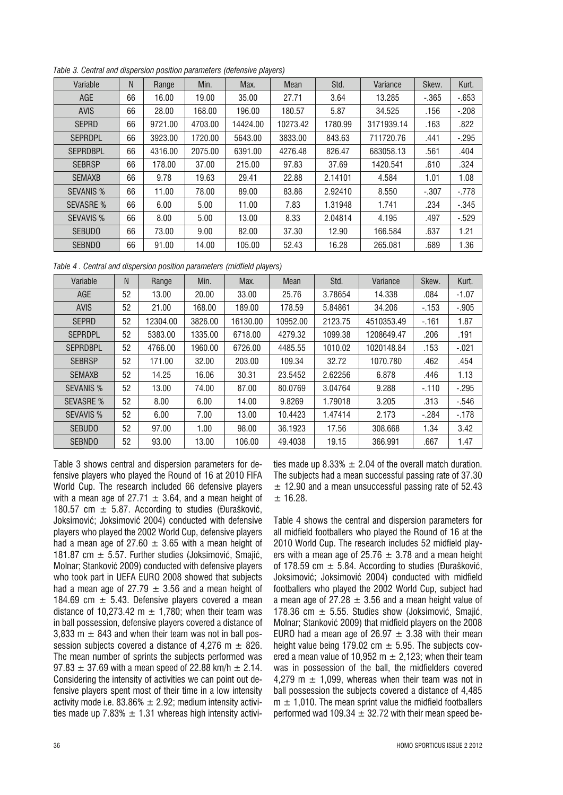| Variable         | N  | Range   | Min.    | Max.     | <b>Mean</b> | Std.    | Variance   | Skew.    | Kurt.   |
|------------------|----|---------|---------|----------|-------------|---------|------------|----------|---------|
| AGE              | 66 | 16.00   | 19.00   | 35.00    | 27.71       | 3.64    | 13.285     | $-0.365$ | $-653$  |
| <b>AVIS</b>      | 66 | 28.00   | 168.00  | 196.00   | 180.57      | 5.87    | 34.525     | .156     | $-.208$ |
| <b>SEPRD</b>     | 66 | 9721.00 | 4703.00 | 14424.00 | 10273.42    | 1780.99 | 3171939.14 | .163     | .822    |
| <b>SEPRDPL</b>   | 66 | 3923.00 | 1720.00 | 5643.00  | 3833.00     | 843.63  | 711720.76  | .441     | $-.295$ |
| <b>SEPRDBPL</b>  | 66 | 4316.00 | 2075.00 | 6391.00  | 4276.48     | 826.47  | 683058.13  | .561     | .404    |
| <b>SEBRSP</b>    | 66 | 178.00  | 37.00   | 215.00   | 97.83       | 37.69   | 1420.541   | .610     | .324    |
| <b>SEMAXB</b>    | 66 | 9.78    | 19.63   | 29.41    | 22.88       | 2.14101 | 4.584      | 1.01     | 1.08    |
| <b>SEVANIS %</b> | 66 | 11.00   | 78.00   | 89.00    | 83.86       | 2.92410 | 8.550      | $-.307$  | $-.778$ |
| <b>SEVASRE %</b> | 66 | 6.00    | 5.00    | 11.00    | 7.83        | 1.31948 | 1.741      | .234     | $-.345$ |
| <b>SEVAVIS %</b> | 66 | 8.00    | 5.00    | 13.00    | 8.33        | 2.04814 | 4.195      | .497     | $-.529$ |
| <b>SEBUDO</b>    | 66 | 73.00   | 9.00    | 82.00    | 37.30       | 12.90   | 166.584    | .637     | 1.21    |
| <b>SEBNDO</b>    | 66 | 91.00   | 14.00   | 105.00   | 52.43       | 16.28   | 265.081    | .689     | 1.36    |

*Table 3. Central and dispersion position parameters (defensive players)*

*Table 4 . Central and dispersion position parameters (midfield players)*

| Variable         | N  | Range    | Min.    | Max.     | Mean     | Std.    | Variance   | Skew.   | Kurt.    |
|------------------|----|----------|---------|----------|----------|---------|------------|---------|----------|
| AGE              | 52 | 13.00    | 20.00   | 33.00    | 25.76    | 3.78654 | 14.338     | .084    | $-1.07$  |
| <b>AVIS</b>      | 52 | 21.00    | 168.00  | 189.00   | 178.59   | 5.84861 | 34.206     | $-153$  | $-.905$  |
| <b>SEPRD</b>     | 52 | 12304.00 | 3826.00 | 16130.00 | 10952.00 | 2123.75 | 4510353.49 | $-161$  | 1.87     |
| <b>SEPRDPL</b>   | 52 | 5383.00  | 1335.00 | 6718.00  | 4279.32  | 1099.38 | 1208649.47 | .206    | .191     |
| <b>SEPRDBPL</b>  | 52 | 4766.00  | 1960.00 | 6726.00  | 4485.55  | 1010.02 | 1020148.84 | .153    | $-.021$  |
| <b>SEBRSP</b>    | 52 | 171.00   | 32.00   | 203.00   | 109.34   | 32.72   | 1070.780   | .462    | .454     |
| <b>SEMAXB</b>    | 52 | 14.25    | 16.06   | 30.31    | 23.5452  | 2.62256 | 6.878      | .446    | 1.13     |
| <b>SEVANIS %</b> | 52 | 13.00    | 74.00   | 87.00    | 80.0769  | 3.04764 | 9.288      | $-110$  | $-.295$  |
| <b>SEVASRE %</b> | 52 | 8.00     | 6.00    | 14.00    | 9.8269   | 1.79018 | 3.205      | .313    | $-0.546$ |
| <b>SEVAVIS %</b> | 52 | 6.00     | 7.00    | 13.00    | 10.4423  | 1.47414 | 2.173      | $-.284$ | $-178$   |
| <b>SEBUDO</b>    | 52 | 97.00    | 1.00    | 98.00    | 36.1923  | 17.56   | 308.668    | 1.34    | 3.42     |
| <b>SEBNDO</b>    | 52 | 93.00    | 13.00   | 106.00   | 49.4038  | 19.15   | 366.991    | .667    | 1.47     |

Table 3 shows central and dispersion parameters for defensive players who played the Round of 16 at 2010 FIFA World Cup. The research included 66 defensive players with a mean age of 27.71  $\pm$  3.64, and a mean height of 180.57 cm  $\pm$  5.87. According to studies (Đurašković, Joksimoviê; Joksimoviê 2004) conducted with defensive players who played the 2002 World Cup, defensive players had a mean age of 27.60  $\pm$  3.65 with a mean height of 181.87 cm  $\pm$  5.57. Further studies (Joksimović, Smailć, Molnar; Stankoviê 2009) conducted with defensive players who took part in UEFA EURO 2008 showed that subjects had a mean age of 27.79  $\pm$  3.56 and a mean height of 184.69 cm  $\pm$  5.43. Defensive players covered a mean distance of 10.273.42 m  $\pm$  1.780; when their team was in ball possession, defensive players covered a distance of 3,833 m  $\pm$  843 and when their team was not in ball possession subjects covered a distance of 4,276 m  $\pm$  826. The mean number of sprints the subjects performed was  $97.83 \pm 37.69$  with a mean speed of 22.88 km/h  $\pm 2.14$ . Considering the intensity of activities we can point out defensive players spent most of their time in a low intensity activity mode i.e. 83.86%  $\pm$  2.92; medium intensity activities made up 7.83%  $\pm$  1.31 whereas high intensity activities made up 8.33%  $\pm$  2.04 of the overall match duration. The subjects had a mean successful passing rate of 37.30  $\pm$  12.90 and a mean unsuccessful passing rate of 52.43  $± 16.28.$ 

Table 4 shows the central and dispersion parameters for all midfield footballers who played the Round of 16 at the 2010 World Cup. The research includes 52 midfield players with a mean age of 25.76  $\pm$  3.78 and a mean height of 178.59 cm  $\pm$  5.84. According to studies (Đurašković, Joksimoviê; Joksimoviê 2004) conducted with midfield footballers who played the 2002 World Cup, subject had a mean age of 27.28  $\pm$  3.56 and a mean height value of 178.36 cm  $\pm$  5.55. Studies show (Joksimović, Smaiić, Molnar; Stankoviê 2009) that midfield players on the 2008 EURO had a mean age of 26.97  $\pm$  3.38 with their mean height value being 179.02 cm  $\pm$  5.95. The subjects covered a mean value of 10.952 m  $\pm$  2.123; when their team was in possession of the ball, the midfielders covered 4.279 m  $\pm$  1.099, whereas when their team was not in ball possession the subjects covered a distance of 4,485  $m \pm 1,010$ . The mean sprint value the midfield footballers performed wad 109.34  $\pm$  32.72 with their mean speed be-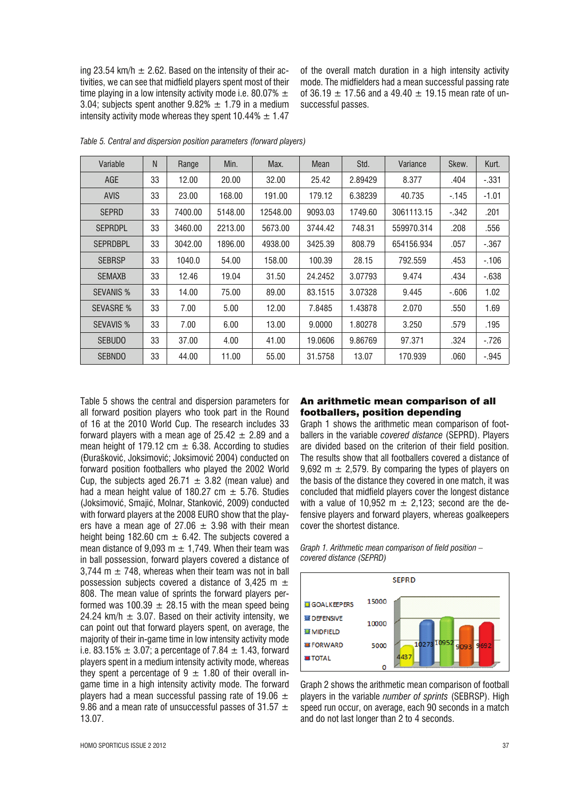ing 23.54 km/h  $\pm$  2.62. Based on the intensity of their activities, we can see that midfield players spent most of their time playing in a low intensity activity mode i.e. 80.07%  $\pm$ 3.04; subjects spent another  $9.82\% \pm 1.79$  in a medium intensity activity mode whereas they spent  $10.44\% \pm 1.47$ 

of the overall match duration in a high intensity activity mode. The midfielders had a mean successful passing rate of 36.19  $\pm$  17.56 and a 49.40  $\pm$  19.15 mean rate of unsuccessful passes.

| Variable         | N  | Range   | Min.    | Max.     | Mean    | Std.    | Variance   | Skew.   | Kurt.    |
|------------------|----|---------|---------|----------|---------|---------|------------|---------|----------|
| AGE              | 33 | 12.00   | 20.00   | 32.00    | 25.42   | 2.89429 | 8.377      | .404    | $-331$   |
| <b>AVIS</b>      | 33 | 23.00   | 168.00  | 191.00   | 179.12  | 6.38239 | 40.735     | $-145$  | $-1.01$  |
| <b>SEPRD</b>     | 33 | 7400.00 | 5148.00 | 12548.00 | 9093.03 | 1749.60 | 3061113.15 | $-.342$ | .201     |
| <b>SEPRDPL</b>   | 33 | 3460.00 | 2213.00 | 5673.00  | 3744.42 | 748.31  | 559970.314 | .208    | .556     |
| <b>SEPRDBPL</b>  | 33 | 3042.00 | 1896.00 | 4938.00  | 3425.39 | 808.79  | 654156.934 | .057    | $-.367$  |
| <b>SEBRSP</b>    | 33 | 1040.0  | 54.00   | 158.00   | 100.39  | 28.15   | 792.559    | .453    | $-106$   |
| <b>SEMAXB</b>    | 33 | 12.46   | 19.04   | 31.50    | 24.2452 | 3.07793 | 9.474      | .434    | $-0.638$ |
| <b>SEVANIS %</b> | 33 | 14.00   | 75.00   | 89.00    | 83.1515 | 3.07328 | 9.445      | $-606$  | 1.02     |
| <b>SEVASRE %</b> | 33 | 7.00    | 5.00    | 12.00    | 7.8485  | 1.43878 | 2.070      | .550    | 1.69     |
| <b>SEVAVIS %</b> | 33 | 7.00    | 6.00    | 13.00    | 9.0000  | 1.80278 | 3.250      | .579    | .195     |
| <b>SEBUDO</b>    | 33 | 37.00   | 4.00    | 41.00    | 19.0606 | 9.86769 | 97.371     | .324    | $-.726$  |
| <b>SEBNDO</b>    | 33 | 44.00   | 11.00   | 55.00    | 31.5758 | 13.07   | 170.939    | .060    | $-.945$  |

*Table 5. Central and dispersion position parameters (forward players)*

Table 5 shows the central and dispersion parameters for all forward position players who took part in the Round of 16 at the 2010 World Cup. The research includes 33 forward players with a mean age of  $25.42 \pm 2.89$  and a mean height of 179.12 cm  $\pm$  6.38. According to studies (Đurašković, Joksimović; Joksimović 2004) conducted on forward position footballers who played the 2002 World Cup, the subjects aged 26.71  $\pm$  3.82 (mean value) and had a mean height value of 180.27 cm  $\pm$  5.76. Studies (Joksimoviê, Smajiê, Molnar, Stankoviê, 2009) conducted with forward players at the 2008 EURO show that the players have a mean age of 27.06  $\pm$  3.98 with their mean height being 182.60 cm  $\pm$  6.42. The subjects covered a mean distance of 9,093 m  $\pm$  1,749. When their team was in ball possession, forward players covered a distance of 3,744 m  $\pm$  748, whereas when their team was not in ball possession subjects covered a distance of 3,425 m  $\pm$ 808. The mean value of sprints the forward players performed was 100.39  $\pm$  28.15 with the mean speed being 24.24 km/h  $\pm$  3.07. Based on their activity intensity, we can point out that forward players spent, on average, the majority of their in-game time in low intensity activity mode i.e. 83.15%  $\pm$  3.07; a percentage of 7.84  $\pm$  1.43, forward players spent in a medium intensity activity mode, whereas they spent a percentage of  $9 \pm 1.80$  of their overall ingame time in a high intensity activity mode. The forward players had a mean successful passing rate of 19.06  $\pm$ 9.86 and a mean rate of unsuccessful passes of 31.57  $\pm$ 13.07.

#### An arithmetic mean comparison of all footballers, position depending

Graph 1 shows the arithmetic mean comparison of footballers in the variable *covered distance* (SEPRD). Players are divided based on the criterion of their field position. The results show that all footballers covered a distance of 9,692 m  $\pm$  2,579. By comparing the types of players on the basis of the distance they covered in one match, it was concluded that midfield players cover the longest distance with a value of 10,952 m  $\pm$  2,123; second are the defensive players and forward players, whereas goalkeepers cover the shortest distance.

*Graph 1. Arithmetic mean comparison of field position – covered distance (SEPRD)*



Graph 2 shows the arithmetic mean comparison of football players in the variable *number of sprints* (SEBRSP). High speed run occur, on average, each 90 seconds in a match and do not last longer than 2 to 4 seconds.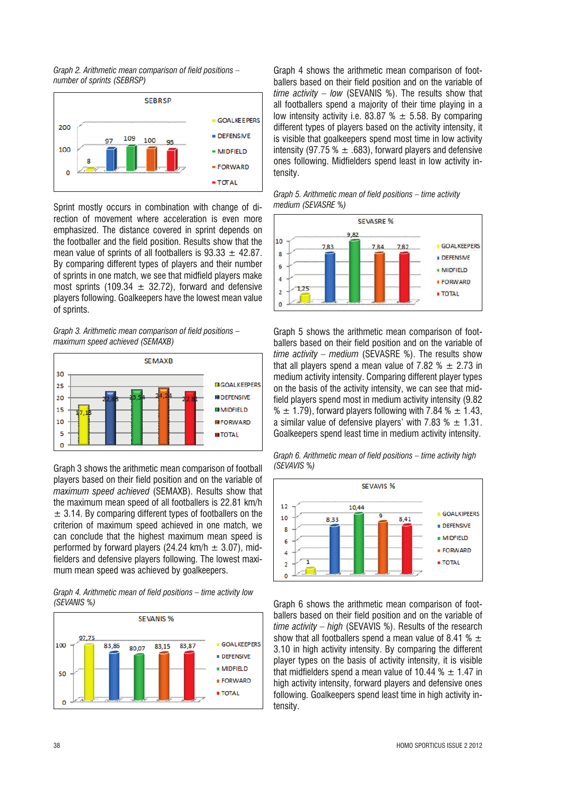*Graph 2. Arithmetic mean comparison of field positions – number of sprints (SEBRSP)*



Sprint mostly occurs in combination with change of direction of movement where acceleration is even more emphasized. The distance covered in sprint depends on the footballer and the field position. Results show that the mean value of sprints of all footballers is  $93.33 \pm 42.87$ . By comparing different types of players and their number of sprints in one match, we see that midfield players make most sprints (109.34  $\pm$  32.72), forward and defensive players following. Goalkeepers have the lowest mean value of sprints.

*Graph 3. Arithmetic mean comparison of field positions – maximum speed achieved (SEMAXB)*



Graph 3 shows the arithmetic mean comparison of football players based on their field position and on the variable of *maximum speed achieved* (SEMAXB). Results show that the maximum mean speed of all footballers is 22.81 km/h  $\pm$  3.14. By comparing different types of footballers on the criterion of maximum speed achieved in one match, we can conclude that the highest maximum mean speed is performed by forward players (24.24 km/h  $\pm$  3.07), midfielders and defensive players following. The lowest maximum mean speed was achieved by goalkeepers.

*Graph 4. Arithmetic mean of field positions – time activity low (SEVANIS %)*



Graph 4 shows the arithmetic mean comparison of footballers based on their field position and on the variable of *time activity – low* (SEVANIS %). The results show that all footballers spend a majority of their time playing in a low intensity activity i.e. 83.87 %  $\pm$  5.58. By comparing different types of players based on the activity intensity, it is visible that goalkeepers spend most time in low activity intensity (97.75 %  $\pm$  .683), forward players and defensive ones following. Midfielders spend least in low activity intensity.





Graph 5 shows the arithmetic mean comparison of footballers based on their field position and on the variable of *time activity – medium* (SEVASRE %). The results show that all players spend a mean value of 7.82  $% \pm 2.73$  in medium activity intensity. Comparing different player types on the basis of the activity intensity, we can see that midfield players spend most in medium activity intensity (9.82 %  $\pm$  1.79), forward players following with 7.84 %  $\pm$  1.43, a similar value of defensive players' with 7.83  $% \pm 1.31$ . Goalkeepers spend least time in medium activity intensity.

*Graph 6. Arithmetic mean of field positions – time activity high (SEVAVIS %)*



Graph 6 shows the arithmetic mean comparison of footballers based on their field position and on the variable of *time activity – high* (SEVAVIS %). Results of the research show that all footballers spend a mean value of 8.41 %  $\pm$ 3.10 in high activity intensity. By comparing the different player types on the basis of activity intensity, it is visible that midfielders spend a mean value of 10.44  $% \pm 1.47$  in high activity intensity, forward players and defensive ones following. Goalkeepers spend least time in high activity intensity.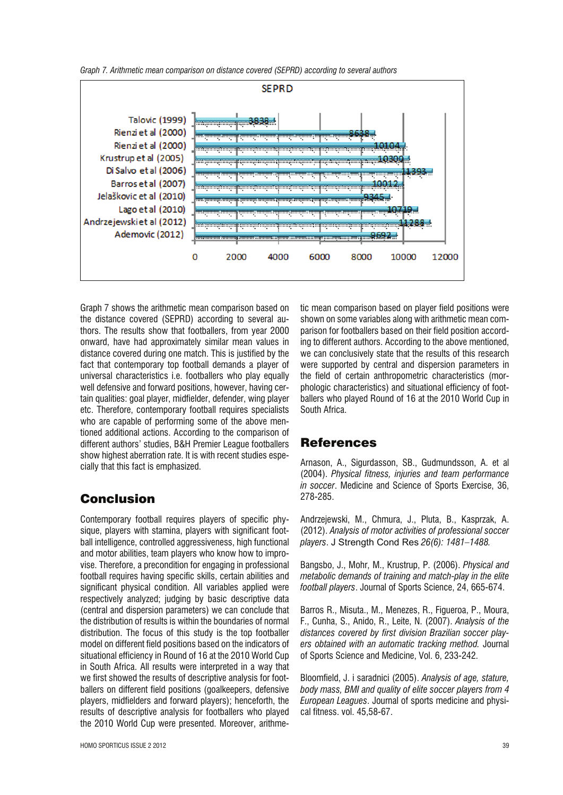*Graph 7. Arithmetic mean comparison on distance covered (SEPRD) according to several authors*



Graph 7 shows the arithmetic mean comparison based on the distance covered (SEPRD) according to several authors. The results show that footballers, from year 2000 onward, have had approximately similar mean values in distance covered during one match. This is justified by the fact that contemporary top football demands a player of universal characteristics i.e. footballers who play equally well defensive and forward positions, however, having certain qualities: goal player, midfielder, defender, wing player etc. Therefore, contemporary football requires specialists who are capable of performing some of the above mentioned additional actions. According to the comparison of different authors' studies, B&H Premier League footballers show highest aberration rate. It is with recent studies especially that this fact is emphasized.

## Conclusion

Contemporary football requires players of specific physique, players with stamina, players with significant football intelligence, controlled aggressiveness, high functional and motor abilities, team players who know how to improvise. Therefore, a precondition for engaging in professional football requires having specific skills, certain abilities and significant physical condition. All variables applied were respectively analyzed; judging by basic descriptive data (central and dispersion parameters) we can conclude that the distribution of results is within the boundaries of normal distribution. The focus of this study is the top footballer model on different field positions based on the indicators of situational efficiency in Round of 16 at the 2010 World Cup in South Africa. All results were interpreted in a way that we first showed the results of descriptive analysis for footballers on different field positions (goalkeepers, defensive players, midfielders and forward players); henceforth, the results of descriptive analysis for footballers who played the 2010 World Cup were presented. Moreover, arithmetic mean comparison based on player field positions were shown on some variables along with arithmetic mean comparison for footballers based on their field position according to different authors. According to the above mentioned, we can conclusively state that the results of this research were supported by central and dispersion parameters in the field of certain anthropometric characteristics (morphologic characteristics) and situational efficiency of footballers who played Round of 16 at the 2010 World Cup in South Africa.

## References

Arnason, A., Sigurdasson, SB., Gudmundsson, A. et al (2004). *Physical fitness, injuries and team performance in soccer*. Medicine and Science of Sports Exercise, 36, 278-285.

Andrzejewski, M., Chmura, J., Pluta, B., Kasprzak, A. (2012). *Analysis of motor activities of professional soccer players*. J Strength Cond Res *26(6): 1481–1488.*

Bangsbo, J., Mohr, M., Krustrup, P. (2006). *Physical and metabolic demands of training and match-play in the elite football players*. Journal of Sports Science, 24, 665-674.

Barros R., Misuta., M., Menezes, R., Figueroa, P., Moura, F., Cunha, S., Anido, R., Leite, N. (2007). *Analysis of the distances covered by first division Brazilian soccer players obtained with an automatic tracking method.* Journal of Sports Science and Medicine, Vol. 6, 233-242.

Bloomfield, J. i saradnici (2005). *Analysis of age, stature, body mass, BMI and quality of elite soccer players from 4 European Leagues*. Journal of sports medicine and physical fitness. vol. 45,58-67.